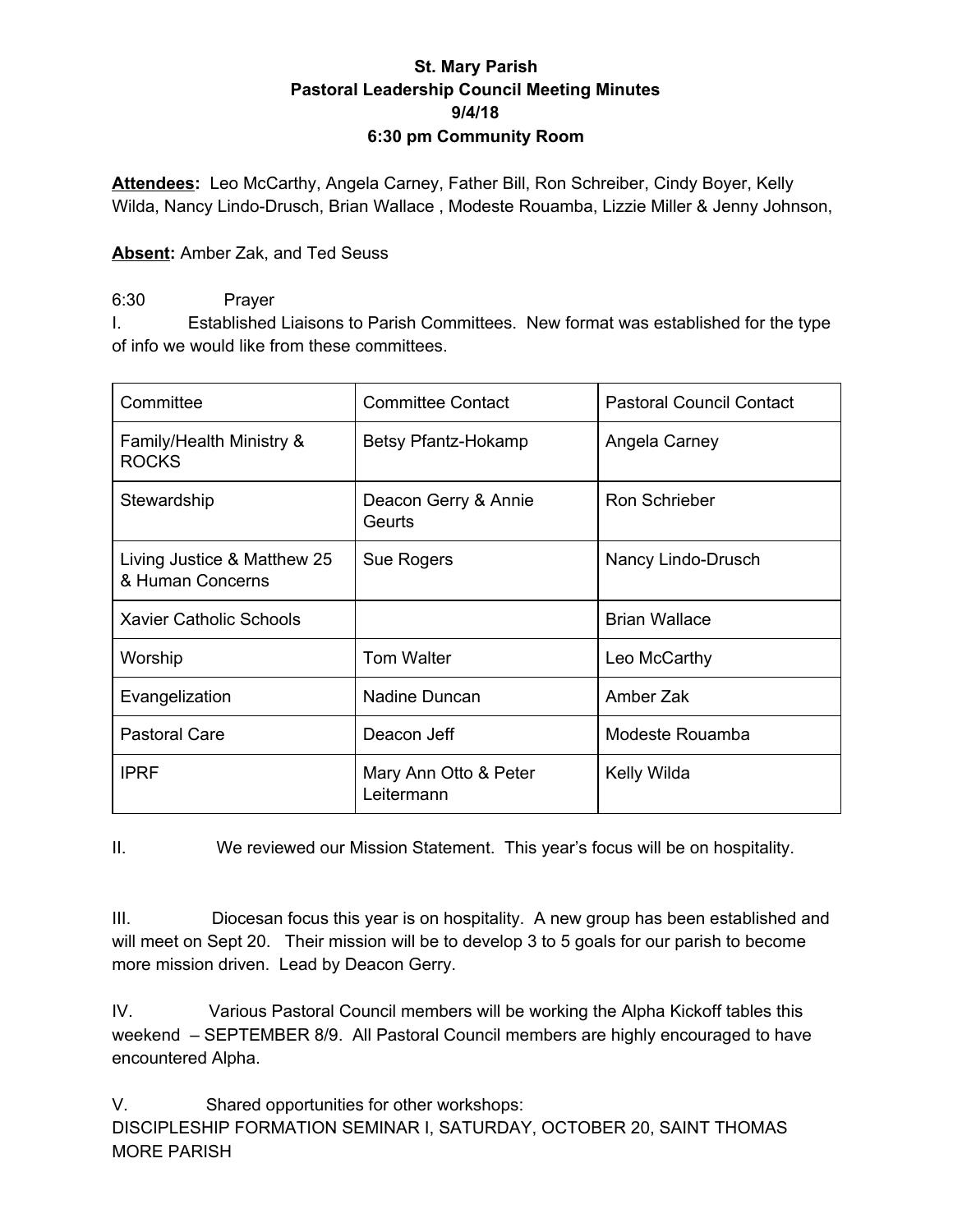### **St. Mary Parish Pastoral Leadership Council Meeting Minutes 9/4/18 6:30 pm Community Room**

**Attendees:** Leo McCarthy, Angela Carney, Father Bill, Ron Schreiber, Cindy Boyer, Kelly Wilda, Nancy Lindo-Drusch, Brian Wallace , Modeste Rouamba, Lizzie Miller & Jenny Johnson,

### **Absent:** Amber Zak, and Ted Seuss

### 6:30 Prayer

I. Established Liaisons to Parish Committees. New format was established for the type of info we would like from these committees.

| Committee                                       | <b>Committee Contact</b>            | <b>Pastoral Council Contact</b> |
|-------------------------------------------------|-------------------------------------|---------------------------------|
| Family/Health Ministry &<br><b>ROCKS</b>        | Betsy Pfantz-Hokamp                 | Angela Carney                   |
| Stewardship                                     | Deacon Gerry & Annie<br>Geurts      | Ron Schrieber                   |
| Living Justice & Matthew 25<br>& Human Concerns | Sue Rogers                          | Nancy Lindo-Drusch              |
| Xavier Catholic Schools                         |                                     | <b>Brian Wallace</b>            |
| Worship                                         | <b>Tom Walter</b>                   | Leo McCarthy                    |
| Evangelization                                  | Nadine Duncan                       | Amber Zak                       |
| <b>Pastoral Care</b>                            | Deacon Jeff                         | Modeste Rouamba                 |
| <b>IPRF</b>                                     | Mary Ann Otto & Peter<br>Leitermann | Kelly Wilda                     |

II. We reviewed our Mission Statement. This year's focus will be on hospitality.

III. Diocesan focus this year is on hospitality. A new group has been established and will meet on Sept 20. Their mission will be to develop 3 to 5 goals for our parish to become more mission driven. Lead by Deacon Gerry.

IV. Various Pastoral Council members will be working the Alpha Kickoff tables this weekend – SEPTEMBER 8/9. All Pastoral Council members are highly encouraged to have encountered Alpha.

V. Shared opportunities for other workshops: DISCIPLESHIP FORMATION SEMINAR I, SATURDAY, OCTOBER 20, SAINT THOMAS MORE PARISH